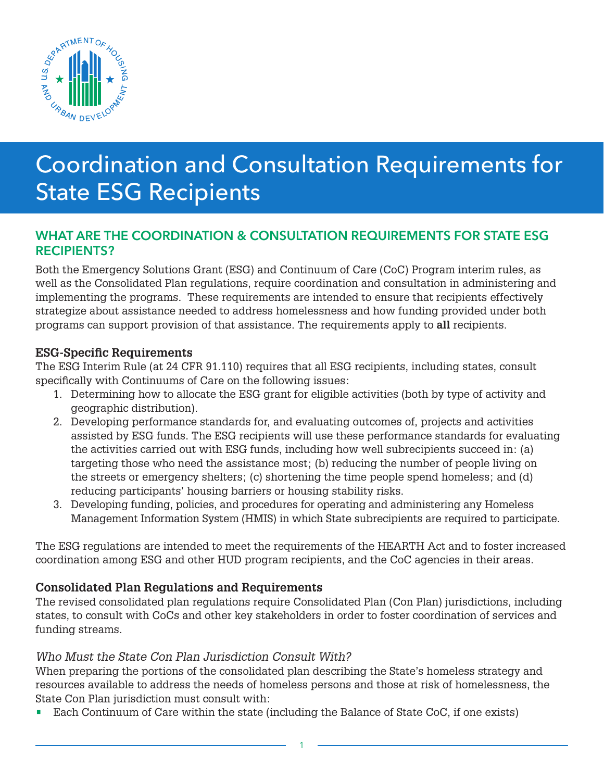

# Coordination and Consultation Requirements for State ESG Recipients

# WHAT ARE THE COORDINATION & CONSULTATION REQUIREMENTS FOR STATE ESG RECIPIENTS?

Both the Emergency Solutions Grant (ESG) and Continuum of Care (CoC) Program interim rules, as well as the Consolidated Plan regulations, require coordination and consultation in administering and implementing the programs. These requirements are intended to ensure that recipients effectively strategize about assistance needed to address homelessness and how funding provided under both programs can support provision of that assistance. The requirements apply to **all** recipients.

# **ESG-Specific Requirements**

The ESG Interim Rule (at 24 CFR 91.110) requires that all ESG recipients, including states, consult specifically with Continuums of Care on the following issues:

- 1. Determining how to allocate the ESG grant for eligible activities (both by type of activity and geographic distribution).
- 2. Developing performance standards for, and evaluating outcomes of, projects and activities assisted by ESG funds. The ESG recipients will use these performance standards for evaluating the activities carried out with ESG funds, including how well subrecipients succeed in: (a) targeting those who need the assistance most; (b) reducing the number of people living on the streets or emergency shelters; (c) shortening the time people spend homeless; and (d) reducing participants' housing barriers or housing stability risks.
- 3. Developing funding, policies, and procedures for operating and administering any Homeless Management Information System (HMIS) in which State subrecipients are required to participate.

The ESG regulations are intended to meet the requirements of the HEARTH Act and to foster increased coordination among ESG and other HUD program recipients, and the CoC agencies in their areas.

# **Consolidated Plan Regulations and Requirements**

The revised consolidated plan regulations require Consolidated Plan (Con Plan) jurisdictions, including states, to consult with CoCs and other key stakeholders in order to foster coordination of services and funding streams.

# *Who Must the State Con Plan Jurisdiction Consult With?*

When preparing the portions of the consolidated plan describing the State's homeless strategy and resources available to address the needs of homeless persons and those at risk of homelessness, the State Con Plan jurisdiction must consult with:

• Each Continuum of Care within the state (including the Balance of State CoC, if one exists)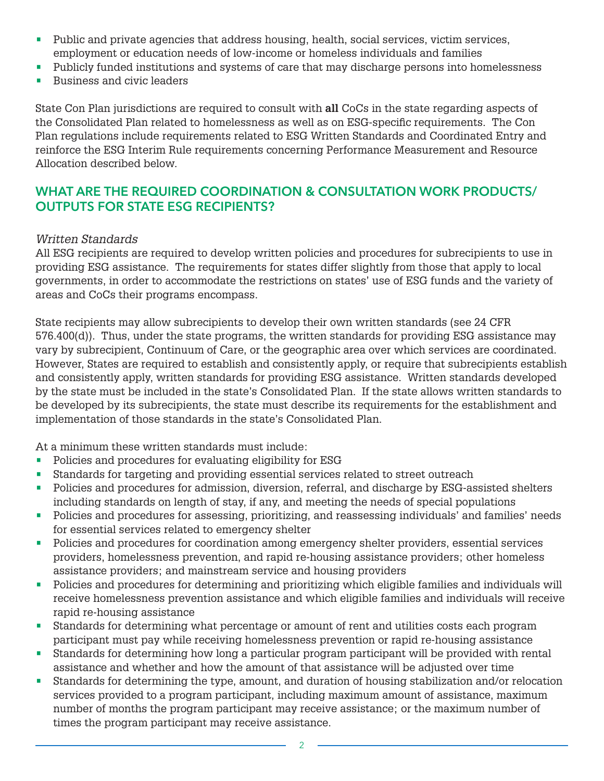- Public and private agencies that address housing, health, social services, victim services, employment or education needs of low-income or homeless individuals and families
- Publicly funded institutions and systems of care that may discharge persons into homelessness
- Business and civic leaders

State Con Plan jurisdictions are required to consult with **all** CoCs in the state regarding aspects of the Consolidated Plan related to homelessness as well as on ESG-specific requirements. The Con Plan regulations include requirements related to ESG Written Standards and Coordinated Entry and reinforce the ESG Interim Rule requirements concerning Performance Measurement and Resource Allocation described below.

# WHAT ARE THE REQUIRED COORDINATION & CONSULTATION WORK PRODUCTS/ OUTPUTS FOR STATE ESG RECIPIENTS?

#### *Written Standards*

All ESG recipients are required to develop written policies and procedures for subrecipients to use in providing ESG assistance. The requirements for states differ slightly from those that apply to local governments, in order to accommodate the restrictions on states' use of ESG funds and the variety of areas and CoCs their programs encompass.

State recipients may allow subrecipients to develop their own written standards (see 24 CFR 576.400(d)). Thus, under the state programs, the written standards for providing ESG assistance may vary by subrecipient, Continuum of Care, or the geographic area over which services are coordinated. However, States are required to establish and consistently apply, or require that subrecipients establish and consistently apply, written standards for providing ESG assistance. Written standards developed by the state must be included in the state's Consolidated Plan. If the state allows written standards to be developed by its subrecipients, the state must describe its requirements for the establishment and implementation of those standards in the state's Consolidated Plan.

At a minimum these written standards must include:

- Policies and procedures for evaluating eligibility for ESG
- Standards for targeting and providing essential services related to street outreach
- Policies and procedures for admission, diversion, referral, and discharge by ESG-assisted shelters including standards on length of stay, if any, and meeting the needs of special populations
- Policies and procedures for assessing, prioritizing, and reassessing individuals' and families' needs for essential services related to emergency shelter
- Policies and procedures for coordination among emergency shelter providers, essential services providers, homelessness prevention, and rapid re-housing assistance providers; other homeless assistance providers; and mainstream service and housing providers
- Policies and procedures for determining and prioritizing which eligible families and individuals will receive homelessness prevention assistance and which eligible families and individuals will receive rapid re-housing assistance
- Standards for determining what percentage or amount of rent and utilities costs each program participant must pay while receiving homelessness prevention or rapid re-housing assistance
- Standards for determining how long a particular program participant will be provided with rental assistance and whether and how the amount of that assistance will be adjusted over time
- Standards for determining the type, amount, and duration of housing stabilization and/or relocation services provided to a program participant, including maximum amount of assistance, maximum number of months the program participant may receive assistance; or the maximum number of times the program participant may receive assistance.